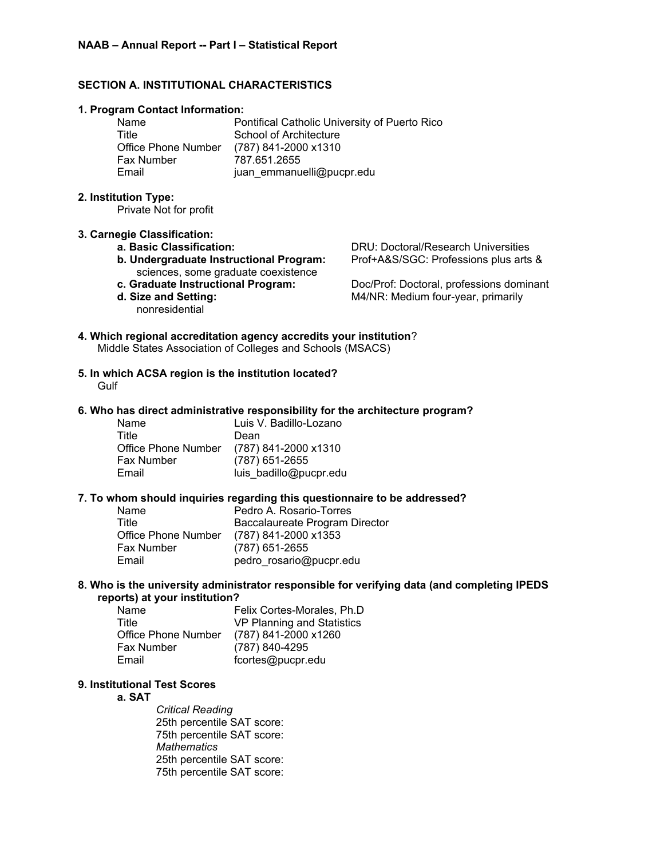## **SECTION A. INSTITUTIONAL CHARACTERISTICS**

#### **1. Program Contact Information:**

| Name                       | Pontifical Catholic University of Puerto Rico |
|----------------------------|-----------------------------------------------|
| Title                      | School of Architecture                        |
| <b>Office Phone Number</b> | (787) 841-2000 x1310                          |
| <b>Fax Number</b>          | 787.651.2655                                  |
| Email                      | juan emmanuelli@pucpr.edu                     |

#### **2. Institution Type:**

Private Not for profit

#### **3. Carnegie Classification:**

- 
- **b. Undergraduate Instructional Program:** Prof+A&S/SGC: Professions plus arts & sciences, some graduate coexistence
- 
- nonresidential

**a. Basic Classification:** DRU: Doctoral/Research Universities

**c. Graduate Instructional Program:** Doc/Prof: Doctoral, professions dominant **d. Size and Setting:** M4/NR: Medium four-year, primarily

## **4. Which regional accreditation agency accredits your institution**? Middle States Association of Colleges and Schools (MSACS)

**5. In which ACSA region is the institution located? Gulf** 

### **6. Who has direct administrative responsibility for the architecture program?**

| Name                       | Luis V. Badillo-Lozano |
|----------------------------|------------------------|
| Title                      | Dean                   |
| <b>Office Phone Number</b> | (787) 841-2000 x1310   |
| Fax Number                 | (787) 651-2655         |
| Email                      | luis badillo@pucpr.edu |

#### **7. To whom should inquiries regarding this questionnaire to be addressed?**

| Name                | Pedro A. Rosario-Torres        |
|---------------------|--------------------------------|
| Title               | Baccalaureate Program Director |
| Office Phone Number | (787) 841-2000 x1353           |
| Fax Number          | (787) 651-2655                 |
| Email               | pedro_rosario@pucpr.edu        |

#### **8. Who is the university administrator responsible for verifying data (and completing IPEDS reports) at your institution?**

| Name                | Felix Cortes-Morales, Ph.D. |
|---------------------|-----------------------------|
| Title               | VP Planning and Statistics  |
| Office Phone Number | (787) 841-2000 x1260        |
| <b>Fax Number</b>   | (787) 840-4295              |
| Email               | fcortes@pucpr.edu           |

# **9. Institutional Test Scores**

#### **a. SAT**

*Critical Reading* 25th percentile SAT score: 75th percentile SAT score: *Mathematics* 25th percentile SAT score: 75th percentile SAT score: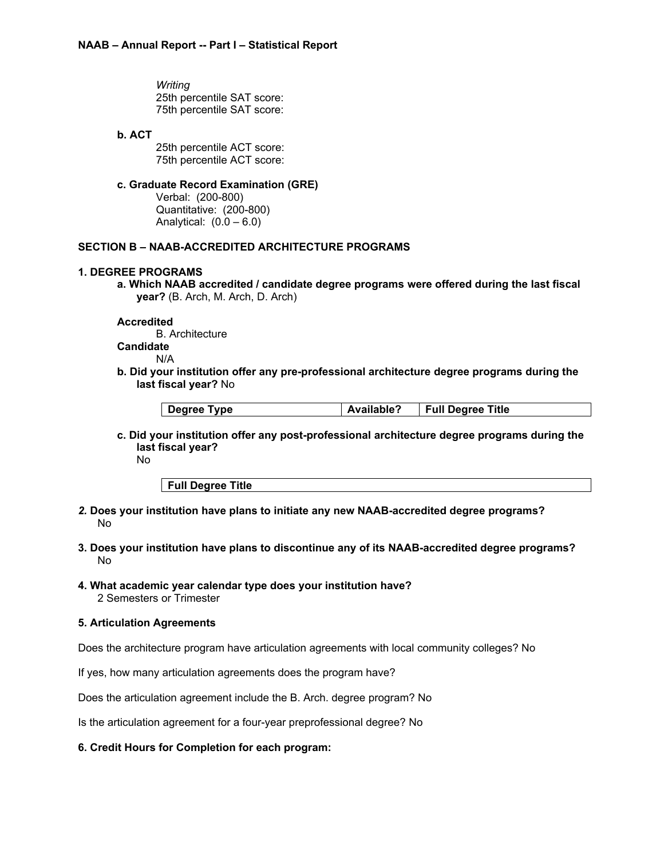*Writing* 25th percentile SAT score: 75th percentile SAT score:

### **b. ACT**

25th percentile ACT score: 75th percentile ACT score:

## **c. Graduate Record Examination (GRE)**

Verbal: (200-800) Quantitative: (200-800) Analytical:  $(0.0 - 6.0)$ 

## **SECTION B – NAAB-ACCREDITED ARCHITECTURE PROGRAMS**

## **1. DEGREE PROGRAMS**

**a. Which NAAB accredited / candidate degree programs were offered during the last fiscal year?** (B. Arch, M. Arch, D. Arch)

#### **Accredited**

B. Architecture **Candidate** N/A

**b. Did your institution offer any pre-professional architecture degree programs during the last fiscal year?** No

|  | Degree Type | <b>Available?</b> | Full Degree Title |
|--|-------------|-------------------|-------------------|
|--|-------------|-------------------|-------------------|

**c. Did your institution offer any post-professional architecture degree programs during the last fiscal year?**

No

**Full Degree Title**

- *2.* **Does your institution have plans to initiate any new NAAB-accredited degree programs?** No
- **3. Does your institution have plans to discontinue any of its NAAB-accredited degree programs?** No
- **4. What academic year calendar type does your institution have?** 2 Semesters or Trimester

## **5. Articulation Agreements**

Does the architecture program have articulation agreements with local community colleges? No

If yes, how many articulation agreements does the program have?

Does the articulation agreement include the B. Arch. degree program? No

Is the articulation agreement for a four-year preprofessional degree? No

#### **6. Credit Hours for Completion for each program:**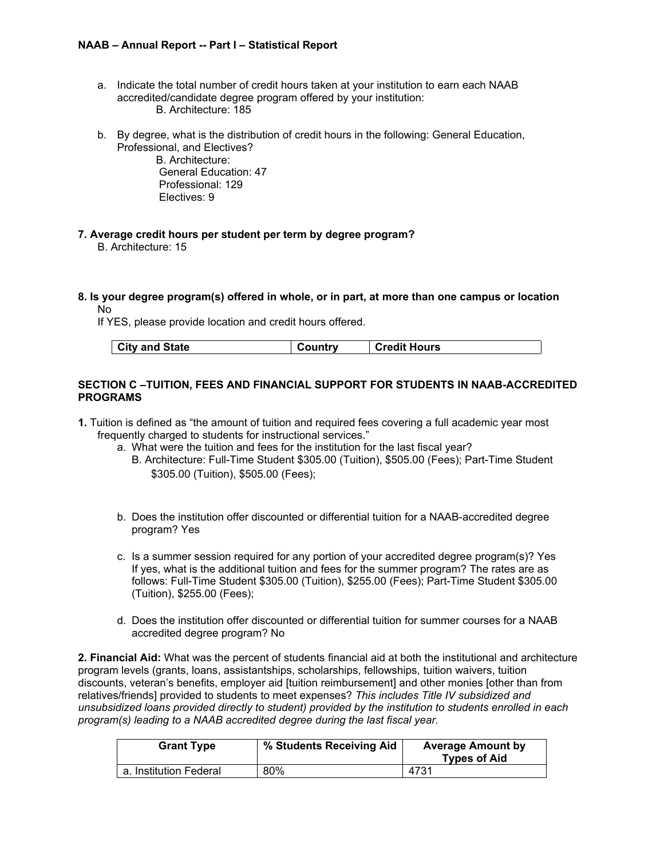- a. Indicate the total number of credit hours taken at your institution to earn each NAAB accredited/candidate degree program offered by your institution: B. Architecture: 185
- b. By degree, what is the distribution of credit hours in the following: General Education, Professional, and Electives?

B. Architecture: General Education: 47 Professional: 129 Electives: 9

- **7. Average credit hours per student per term by degree program?** B. Architecture: 15
- **8. Is your degree program(s) offered in whole, or in part, at more than one campus or location** No

If YES, please provide location and credit hours offered.

| City and State | <b>Credit Hours</b><br>Country |
|----------------|--------------------------------|
|----------------|--------------------------------|

## **SECTION C –TUITION, FEES AND FINANCIAL SUPPORT FOR STUDENTS IN NAAB-ACCREDITED PROGRAMS**

- **1.** Tuition is defined as "the amount of tuition and required fees covering a full academic year most frequently charged to students for instructional services."
	- a. What were the tuition and fees for the institution for the last fiscal year?
		- B. Architecture: Full-Time Student \$305.00 (Tuition), \$505.00 (Fees); Part-Time Student \$305.00 (Tuition), \$505.00 (Fees);
	- b. Does the institution offer discounted or differential tuition for a NAAB-accredited degree program? Yes
	- c. Is a summer session required for any portion of your accredited degree program(s)? Yes If yes, what is the additional tuition and fees for the summer program? The rates are as follows: Full-Time Student \$305.00 (Tuition), \$255.00 (Fees); Part-Time Student \$305.00 (Tuition), \$255.00 (Fees);
	- d. Does the institution offer discounted or differential tuition for summer courses for a NAAB accredited degree program? No

**2. Financial Aid:** What was the percent of students financial aid at both the institutional and architecture program levels (grants, loans, assistantships, scholarships, fellowships, tuition waivers, tuition discounts, veteran's benefits, employer aid [tuition reimbursement] and other monies [other than from relatives/friends] provided to students to meet expenses? *This includes Title IV subsidized and unsubsidized loans provided directly to student) provided by the institution to students enrolled in each program(s) leading to a NAAB accredited degree during the last fiscal year.*

| <b>Grant Type</b>      | % Students Receiving Aid | <b>Average Amount by</b><br><b>Types of Aid</b> |
|------------------------|--------------------------|-------------------------------------------------|
| a. Institution Federal | 80%                      | 4731                                            |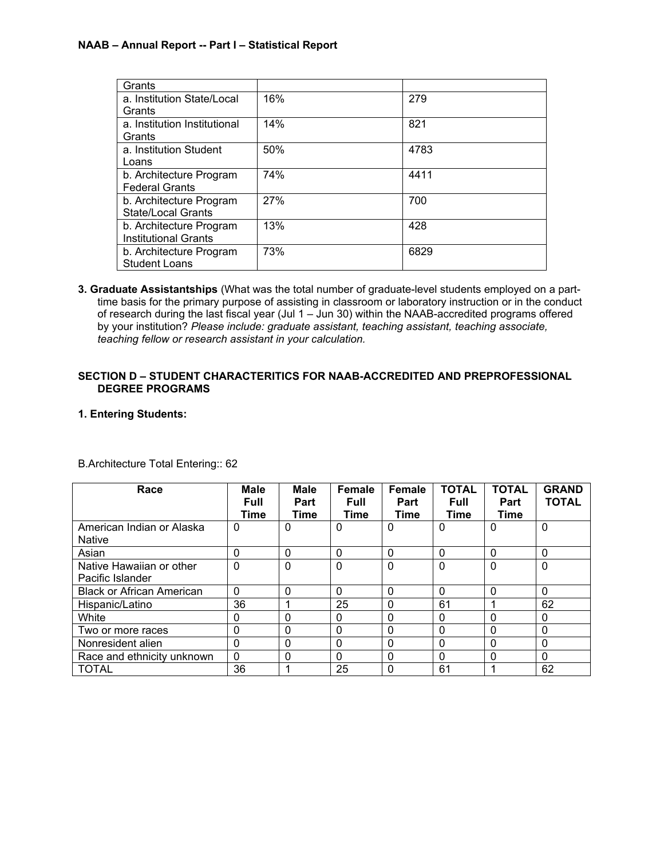| Grants                       |     |      |
|------------------------------|-----|------|
| a. Institution State/Local   | 16% | 279  |
| Grants                       |     |      |
| a. Institution Institutional | 14% | 821  |
| Grants                       |     |      |
| a. Institution Student       | 50% | 4783 |
| Loans                        |     |      |
| b. Architecture Program      | 74% | 4411 |
| <b>Federal Grants</b>        |     |      |
| b. Architecture Program      | 27% | 700  |
| State/Local Grants           |     |      |
| b. Architecture Program      | 13% | 428  |
| <b>Institutional Grants</b>  |     |      |
| b. Architecture Program      | 73% | 6829 |
| <b>Student Loans</b>         |     |      |

**3. Graduate Assistantships** (What was the total number of graduate-level students employed on a parttime basis for the primary purpose of assisting in classroom or laboratory instruction or in the conduct of research during the last fiscal year (Jul 1 – Jun 30) within the NAAB-accredited programs offered by your institution? *Please include: graduate assistant, teaching assistant, teaching associate, teaching fellow or research assistant in your calculation.*

## **SECTION D – STUDENT CHARACTERITICS FOR NAAB-ACCREDITED AND PREPROFESSIONAL DEGREE PROGRAMS**

## **1. Entering Students:**

| Race                                         | <b>Male</b><br><b>Full</b><br>Time | <b>Male</b><br>Part<br>Time | Female<br><b>Full</b><br>Time | Female<br>Part<br><b>Time</b> | <b>TOTAL</b><br><b>Full</b><br>Time | <b>TOTAL</b><br>Part<br>Time | <b>GRAND</b><br><b>TOTAL</b> |
|----------------------------------------------|------------------------------------|-----------------------------|-------------------------------|-------------------------------|-------------------------------------|------------------------------|------------------------------|
| American Indian or Alaska<br><b>Native</b>   | $\mathbf 0$                        | 0                           | 0                             | 0                             | 0                                   | 0                            | $\mathbf 0$                  |
| Asian                                        | $\Omega$                           | 0                           | $\mathbf 0$                   | $\Omega$                      | $\Omega$                            | 0                            | $\Omega$                     |
| Native Hawaiian or other<br>Pacific Islander | $\mathbf 0$                        | 0                           | $\mathbf 0$                   | $\mathbf{0}$                  | $\Omega$                            | $\Omega$                     | $\mathbf 0$                  |
| <b>Black or African American</b>             | $\Omega$                           | 0                           | $\Omega$                      | $\Omega$                      | 0                                   | 0                            | $\mathbf 0$                  |
| Hispanic/Latino                              | 36                                 |                             | 25                            | $\Omega$                      | 61                                  |                              | 62                           |
| White                                        | 0                                  | 0                           | $\mathbf 0$                   | $\Omega$                      | 0                                   | 0                            | $\mathbf 0$                  |
| Two or more races                            | 0                                  | 0                           | $\mathbf 0$                   | $\mathbf{0}$                  | 0                                   | 0                            | $\mathbf 0$                  |
| Nonresident alien                            | $\Omega$                           | 0                           | $\mathbf 0$                   | $\Omega$                      | 0                                   | $\Omega$                     | $\mathbf 0$                  |
| Race and ethnicity unknown                   | $\mathbf{0}$                       | 0                           | $\mathbf 0$                   | $\mathbf{0}$                  | 0                                   | 0                            | $\mathbf 0$                  |
| <b>TOTAL</b>                                 | 36                                 |                             | 25                            | $\mathbf{0}$                  | 61                                  |                              | 62                           |

B.Architecture Total Entering:: 62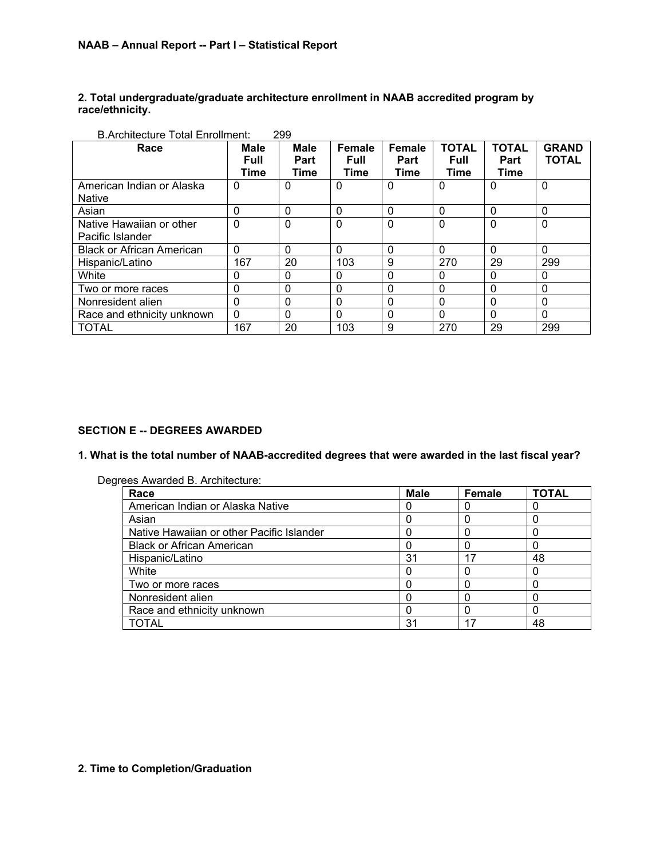## **2. Total undergraduate/graduate architecture enrollment in NAAB accredited program by race/ethnicity.**

| Race                                         | <b>Male</b><br><b>Full</b><br>Time | <b>Male</b><br>Part<br>Time | <b>Female</b><br><b>Full</b><br>Time | Female<br>Part<br>Time | <b>TOTAL</b><br><b>Full</b><br>Time | <b>TOTAL</b><br>Part<br>Time | <b>GRAND</b><br><b>TOTAL</b> |
|----------------------------------------------|------------------------------------|-----------------------------|--------------------------------------|------------------------|-------------------------------------|------------------------------|------------------------------|
| American Indian or Alaska<br><b>Native</b>   | $\mathbf 0$                        | 0                           | $\Omega$                             | $\Omega$               | $\Omega$                            | $\Omega$                     | $\mathbf 0$                  |
| Asian                                        | $\Omega$                           | $\Omega$                    | $\mathbf 0$                          | $\Omega$               | $\Omega$                            | $\Omega$                     | $\mathbf{0}$                 |
| Native Hawaiian or other<br>Pacific Islander | $\mathbf{0}$                       | $\mathbf{0}$                | $\mathbf 0$                          | $\Omega$               | 0                                   | $\Omega$                     | $\mathbf 0$                  |
| <b>Black or African American</b>             | $\Omega$                           | $\Omega$                    | $\mathbf 0$                          | $\Omega$               | $\Omega$                            | $\Omega$                     | $\Omega$                     |
| Hispanic/Latino                              | 167                                | 20                          | 103                                  | 9                      | 270                                 | 29                           | 299                          |
| White                                        | 0                                  | 0                           | $\mathbf 0$                          | $\Omega$               | 0                                   | $\Omega$                     | 0                            |
| Two or more races                            | 0                                  | 0                           | 0                                    | $\Omega$               | 0                                   | $\Omega$                     | $\mathbf{0}$                 |
| Nonresident alien                            | $\Omega$                           | 0                           | $\mathbf 0$                          | 0                      | 0                                   | $\Omega$                     | $\mathbf{0}$                 |
| Race and ethnicity unknown                   | $\Omega$                           | 0                           | $\mathbf 0$                          | $\Omega$               | 0                                   | $\Omega$                     | 0                            |
| <b>TOTAL</b>                                 | 167                                | 20                          | 103                                  | 9                      | 270                                 | 29                           | 299                          |

## **SECTION E -- DEGREES AWARDED**

**1. What is the total number of NAAB-accredited degrees that were awarded in the last fiscal year?**

| Degrees Awarded B. Architecture: |  |
|----------------------------------|--|
|----------------------------------|--|

| Race                                      | <b>Male</b> | <b>Female</b> | TOTAL |
|-------------------------------------------|-------------|---------------|-------|
| American Indian or Alaska Native          |             |               |       |
| Asian                                     |             |               |       |
| Native Hawaiian or other Pacific Islander |             |               |       |
| <b>Black or African American</b>          |             |               |       |
| Hispanic/Latino                           | 31          | 17            | 48    |
| White                                     |             |               |       |
| Two or more races                         |             |               |       |
| Nonresident alien                         |             |               |       |
| Race and ethnicity unknown                |             |               |       |
| <b>TOTAL</b>                              | 31          |               | 48    |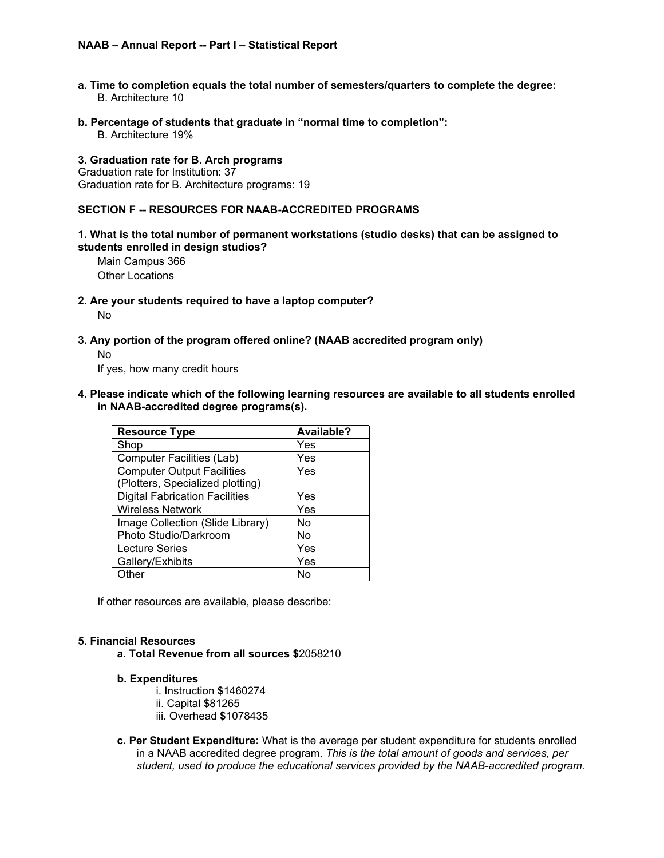- **a. Time to completion equals the total number of semesters/quarters to complete the degree:** B. Architecture 10
- **b. Percentage of students that graduate in "normal time to completion":**

B. Architecture 19%

#### **3. Graduation rate for B. Arch programs**

Graduation rate for Institution: 37 Graduation rate for B. Architecture programs: 19

#### **SECTION F -- RESOURCES FOR NAAB-ACCREDITED PROGRAMS**

## **1. What is the total number of permanent workstations (studio desks) that can be assigned to students enrolled in design studios?**

Main Campus 366 Other Locations

**2. Are your students required to have a laptop computer?**

No

**3. Any portion of the program offered online? (NAAB accredited program only)**

## No

If yes, how many credit hours

**4. Please indicate which of the following learning resources are available to all students enrolled in NAAB-accredited degree programs(s).**

| <b>Resource Type</b>                  | Available? |
|---------------------------------------|------------|
| Shop                                  | Yes        |
| <b>Computer Facilities (Lab)</b>      | Yes        |
| <b>Computer Output Facilities</b>     | Yes        |
| (Plotters, Specialized plotting)      |            |
| <b>Digital Fabrication Facilities</b> | Yes        |
| <b>Wireless Network</b>               | Yes        |
| Image Collection (Slide Library)      | Nο         |
| Photo Studio/Darkroom                 | No         |
| <b>Lecture Series</b>                 | Yes        |
| Gallery/Exhibits                      | Yes        |
| Other                                 | Nο         |

If other resources are available, please describe:

#### **5. Financial Resources**

**a. Total Revenue from all sources \$**2058210

## **b. Expenditures**

i. Instruction **\$**1460274

- ii. Capital **\$**81265
- iii. Overhead **\$**1078435
- **c. Per Student Expenditure:** What is the average per student expenditure for students enrolled in a NAAB accredited degree program. *This is the total amount of goods and services, per student, used to produce the educational services provided by the NAAB-accredited program.*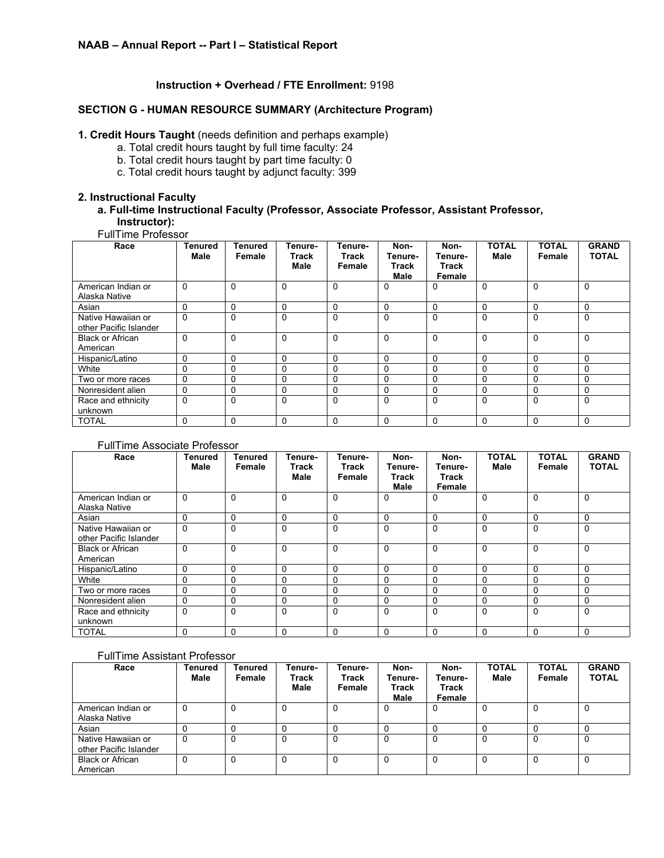## **Instruction + Overhead / FTE Enrollment:** 9198

## **SECTION G - HUMAN RESOURCE SUMMARY (Architecture Program)**

## **1. Credit Hours Taught** (needs definition and perhaps example)

- a. Total credit hours taught by full time faculty: 24
- b. Total credit hours taught by part time faculty: 0
- c. Total credit hours taught by adjunct faculty: 399

## **2. Instructional Faculty**

## **a. Full-time Instructional Faculty (Professor, Associate Professor, Assistant Professor, Instructor):**

## FullTime Professor

| Race                                         | Tenured<br>Male | Tenured<br>Female | Tenure-<br>Track<br>Male | Tenure-<br>Track<br>Female | Non-<br>Tenure-<br>Track<br>Male | Non-<br>Tenure-<br>Track<br>Female | <b>TOTAL</b><br><b>Male</b> | <b>TOTAL</b><br>Female | <b>GRAND</b><br><b>TOTAL</b> |
|----------------------------------------------|-----------------|-------------------|--------------------------|----------------------------|----------------------------------|------------------------------------|-----------------------------|------------------------|------------------------------|
| American Indian or<br>Alaska Native          | 0               | $\Omega$          | $\Omega$                 | $\Omega$                   | 0                                | $\Omega$                           | 0                           | $\mathbf{0}$           | 0                            |
| Asian                                        | 0               | $\Omega$          | $\mathbf 0$              | $\Omega$                   | $\Omega$                         | $\Omega$                           | $\Omega$                    | $\Omega$               | $\Omega$                     |
| Native Hawaiian or<br>other Pacific Islander | $\Omega$        | $\Omega$          | $\Omega$                 | $\Omega$                   | $\Omega$                         | $\Omega$                           | $\mathbf{0}$                | $\Omega$               | $\Omega$                     |
| <b>Black or African</b><br>American          | 0               | $\Omega$          | $\Omega$                 | $\Omega$                   | $\mathbf 0$                      | $\Omega$                           | $\Omega$                    | $\Omega$               | $\Omega$                     |
| Hispanic/Latino                              | 0               | $\Omega$          | $\mathbf 0$              | $\Omega$                   | $\Omega$                         | $\Omega$                           | 0                           | 0                      | $\Omega$                     |
| White                                        | 0               | $\Omega$          | 0                        | $\Omega$                   | $\Omega$                         | $\Omega$                           | $\Omega$                    | 0                      | 0                            |
| Two or more races                            | 0               | $\Omega$          | 0                        | $\Omega$                   | 0                                | $\Omega$                           | $\Omega$                    | 0                      | 0                            |
| Nonresident alien                            | 0               | $\Omega$          | $\mathbf 0$              | 0                          | 0                                | 0                                  | $\Omega$                    | 0                      | $\Omega$                     |
| Race and ethnicity<br>unknown                | 0               | $\Omega$          | $\Omega$                 | $\Omega$                   | $\Omega$                         | $\Omega$                           | $\Omega$                    | $\Omega$               | $\Omega$                     |
| <b>TOTAL</b>                                 | 0               | $\mathbf{0}$      | 0                        | $\Omega$                   | $\Omega$                         | $\Omega$                           | 0                           | $\Omega$               | $\Omega$                     |

#### FullTime Associate Professor

| Race                                         | <b>Tenured</b><br>Male | Tenured<br>Female | Tenure-<br>Track<br>Male | Tenure-<br>Track<br>Female | Non-<br>Tenure-<br>Track<br><b>Male</b> | Non-<br>Tenure-<br><b>Track</b><br>Female | <b>TOTAL</b><br>Male | <b>TOTAL</b><br>Female | <b>GRAND</b><br><b>TOTAL</b> |
|----------------------------------------------|------------------------|-------------------|--------------------------|----------------------------|-----------------------------------------|-------------------------------------------|----------------------|------------------------|------------------------------|
| American Indian or                           | $\Omega$               | $\Omega$          | $\Omega$                 | $\Omega$                   | 0                                       | 0                                         | $\Omega$             | $\Omega$               | $\Omega$                     |
| Alaska Native                                |                        |                   |                          |                            |                                         |                                           |                      |                        |                              |
| Asian                                        | $\Omega$               | $\Omega$          | 0                        | $\Omega$                   | $\Omega$                                | $\Omega$                                  | $\Omega$             | 0                      | 0                            |
| Native Hawaiian or<br>other Pacific Islander | $\Omega$               | $\Omega$          | $\Omega$                 | $\Omega$                   | $\Omega$                                | $\Omega$                                  | $\Omega$             | $\Omega$               | 0                            |
| <b>Black or African</b><br>American          | $\Omega$               | $\Omega$          | $\Omega$                 | $\Omega$                   | $\Omega$                                | $\Omega$                                  | $\Omega$             | $\Omega$               | $\Omega$                     |
| Hispanic/Latino                              | $\Omega$               | $\Omega$          | 0                        | $\Omega$                   | $\mathbf{0}$                            | $\Omega$                                  | $\Omega$             | 0                      | $\Omega$                     |
| White                                        | $\Omega$               | $\Omega$          | 0                        | $\Omega$                   | $\Omega$                                | $\Omega$                                  | $\Omega$             | 0                      |                              |
| Two or more races                            | 0                      | $\Omega$          | 0                        | $\Omega$                   | 0                                       | 0                                         | $\Omega$             | 0                      |                              |
| Nonresident alien                            | 0                      | 0                 | 0                        | 0                          | 0                                       | $\mathbf 0$                               | $\Omega$             | 0                      |                              |
| Race and ethnicity<br>unknown                | $\mathbf 0$            | $\Omega$          | $\Omega$                 | $\Omega$                   | $\Omega$                                | $\mathbf{0}$                              | $\Omega$             | $\Omega$               | 0                            |
| <b>TOTAL</b>                                 | $\Omega$               | $\Omega$          | 0                        | $\Omega$                   | $\Omega$                                | $\Omega$                                  | $\Omega$             | 0                      | $\Omega$                     |

#### FullTime Assistant Professor

| Race                                         | <b>Tenured</b><br>Male | Tenured<br>Female | Tenure-<br>Track<br>Male | Tenure-<br><b>Track</b><br>Female | Non-<br>Tenure-<br>Track<br>Male | Non-<br>Tenure-<br><b>Track</b><br>Female | <b>TOTAL</b><br>Male | <b>TOTAL</b><br>Female | <b>GRAND</b><br><b>TOTAL</b> |
|----------------------------------------------|------------------------|-------------------|--------------------------|-----------------------------------|----------------------------------|-------------------------------------------|----------------------|------------------------|------------------------------|
| American Indian or<br>Alaska Native          | 0                      | 0                 | 0                        | 0                                 | 0                                | 0                                         | 0                    | 0                      |                              |
| Asian                                        |                        |                   |                          | $\Omega$                          |                                  |                                           | $\Omega$             |                        |                              |
| Native Hawaiian or<br>other Pacific Islander | 0                      | $\Omega$          |                          | 0                                 | 0                                | 0                                         | 0                    | $\Omega$               |                              |
| <b>Black or African</b><br>American          | 0                      | 0                 | 0                        | 0                                 | 0                                | 0                                         | 0                    | 0                      |                              |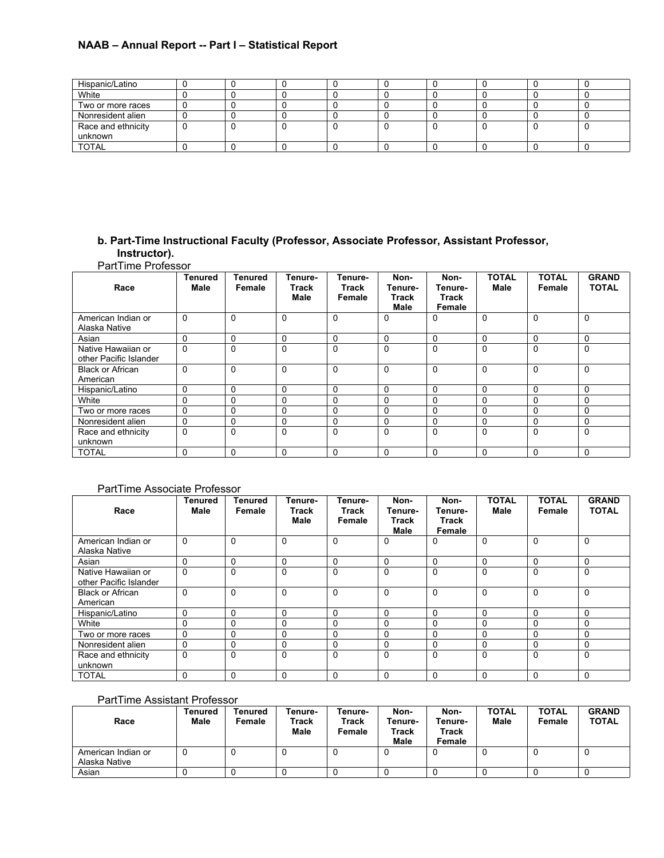| Hispanic/Latino    |   |  |    |  |  |
|--------------------|---|--|----|--|--|
| White              |   |  | x. |  |  |
| Two or more races  |   |  |    |  |  |
| Nonresident alien  |   |  |    |  |  |
| Race and ethnicity | v |  | τ. |  |  |
| unknown            |   |  |    |  |  |
| <b>TOTAL</b>       |   |  |    |  |  |

## **b. Part-Time Instructional Faculty (Professor, Associate Professor, Assistant Professor, Instructor).**

PartTime Professor

| Race                                         | <b>Tenured</b><br>Male | Tenured<br>Female | Tenure-<br><b>Track</b><br><b>Male</b> | Tenure-<br><b>Track</b><br>Female | Non-<br>Tenure-<br>Track<br><b>Male</b> | Non-<br>Tenure-<br>Track<br>Female | <b>TOTAL</b><br>Male | <b>TOTAL</b><br>Female | <b>GRAND</b><br><b>TOTAL</b> |
|----------------------------------------------|------------------------|-------------------|----------------------------------------|-----------------------------------|-----------------------------------------|------------------------------------|----------------------|------------------------|------------------------------|
| American Indian or<br>Alaska Native          | $\Omega$               | $\Omega$          | $\mathbf 0$                            | 0                                 | 0                                       | 0                                  | $\Omega$             | $\Omega$               | $\Omega$                     |
| Asian                                        | $\Omega$               | $\Omega$          | $\Omega$                               | 0                                 | 0                                       | 0                                  | 0                    | 0                      | 0                            |
| Native Hawaiian or<br>other Pacific Islander | $\Omega$               | $\Omega$          | $\Omega$                               | 0                                 | 0                                       | $\Omega$                           | $\Omega$             | 0                      | $\Omega$                     |
| <b>Black or African</b><br>American          | $\Omega$               | $\Omega$          | $\Omega$                               | 0                                 | $\mathbf 0$                             | $\Omega$                           | $\Omega$             | $\Omega$               | $\Omega$                     |
| Hispanic/Latino                              | 0                      | $\Omega$          | $\Omega$                               | 0                                 | 0                                       | $\Omega$                           | 0                    | 0                      | $\Omega$                     |
| White                                        | $\Omega$               | $\Omega$          | $\Omega$                               | 0                                 | 0                                       | $\Omega$                           | $\Omega$             | 0                      | $\Omega$                     |
| Two or more races                            | $\mathbf 0$            | $\Omega$          | $\mathbf 0$                            | 0                                 | 0                                       | $\Omega$                           | $\Omega$             | 0                      | $\Omega$                     |
| Nonresident alien                            | $\Omega$               | $\Omega$          | 0                                      | 0                                 | 0                                       | 0                                  | $\Omega$             | 0                      | $\Omega$                     |
| Race and ethnicity<br>unknown                | $\Omega$               | $\Omega$          | $\Omega$                               | 0                                 | $\Omega$                                | $\Omega$                           | $\Omega$             | $\Omega$               | $\Omega$                     |
| <b>TOTAL</b>                                 | 0                      | 0                 | 0                                      | 0                                 | 0                                       | 0                                  | $\Omega$             | 0                      | 0                            |

## PartTime Associate Professor

| Race                                         | <b>Tenured</b><br>Male | Tenured<br>Female | Tenure-<br>Track<br>Male | Tenure-<br>Track<br>Female | Non-<br>Tenure-<br>Track<br><b>Male</b> | Non-<br>Tenure-<br>Track<br>Female | <b>TOTAL</b><br>Male | <b>TOTAL</b><br>Female | <b>GRAND</b><br><b>TOTAL</b> |
|----------------------------------------------|------------------------|-------------------|--------------------------|----------------------------|-----------------------------------------|------------------------------------|----------------------|------------------------|------------------------------|
| American Indian or<br>Alaska Native          | $\Omega$               | $\Omega$          | $\Omega$                 | 0                          | 0                                       | $\Omega$                           | $\mathbf 0$          | $\Omega$               | $\Omega$                     |
| Asian                                        | 0                      | $\Omega$          | $\Omega$                 | 0                          | 0                                       | $\Omega$                           | 0                    | 0                      | 0                            |
| Native Hawaiian or<br>other Pacific Islander | $\mathbf{0}$           | $\mathbf 0$       | $\mathbf 0$              | 0                          | 0                                       | $\Omega$                           | $\Omega$             | 0                      | $\Omega$                     |
| <b>Black or African</b><br>American          | $\Omega$               | $\Omega$          | $\Omega$                 | 0                          | $\Omega$                                | $\Omega$                           | $\Omega$             | 0                      | $\Omega$                     |
| Hispanic/Latino                              | 0                      | $\Omega$          | $\mathbf 0$              | 0                          | 0                                       | 0                                  | 0                    | 0                      | $\Omega$                     |
| White                                        | $\Omega$               | $\Omega$          | 0                        | 0                          | 0                                       | 0                                  | 0                    | 0                      | $\Omega$                     |
| Two or more races                            | $\mathbf 0$            | $\mathbf 0$       | $\mathbf 0$              | 0                          | 0                                       | $\mathbf 0$                        | 0                    | 0                      | 0                            |
| Nonresident alien                            | 0                      | $\Omega$          | 0                        | 0                          | 0                                       | 0                                  | 0                    | 0                      | 0                            |
| Race and ethnicity<br>unknown                | $\Omega$               | $\Omega$          | $\Omega$                 | 0                          | 0                                       | $\mathbf{0}$                       | $\Omega$             | $\Omega$               | $\Omega$                     |
| <b>TOTAL</b>                                 | $\Omega$               | $\Omega$          | $\Omega$                 | $\Omega$                   | $\Omega$                                | $\Omega$                           | $\Omega$             | $\Omega$               | $\Omega$                     |

## PartTime Assistant Professor

| Race                                | <b>Tenured</b><br>Male | Tenured<br>Female | Tenure-<br><b>Track</b><br>Male | Tenure-<br>Track<br>Female | Non-<br>Tenure-<br>Track<br>Male | Non-<br>Tenure-<br><b>Track</b><br>Female | <b>TOTAL</b><br>Male | <b>TOTAL</b><br>Female | <b>GRAND</b><br><b>TOTAL</b> |
|-------------------------------------|------------------------|-------------------|---------------------------------|----------------------------|----------------------------------|-------------------------------------------|----------------------|------------------------|------------------------------|
| American Indian or<br>Alaska Native | ັບ                     |                   | υ                               |                            | v                                |                                           |                      |                        |                              |
| Asian                               |                        |                   | υ                               |                            |                                  |                                           |                      |                        |                              |